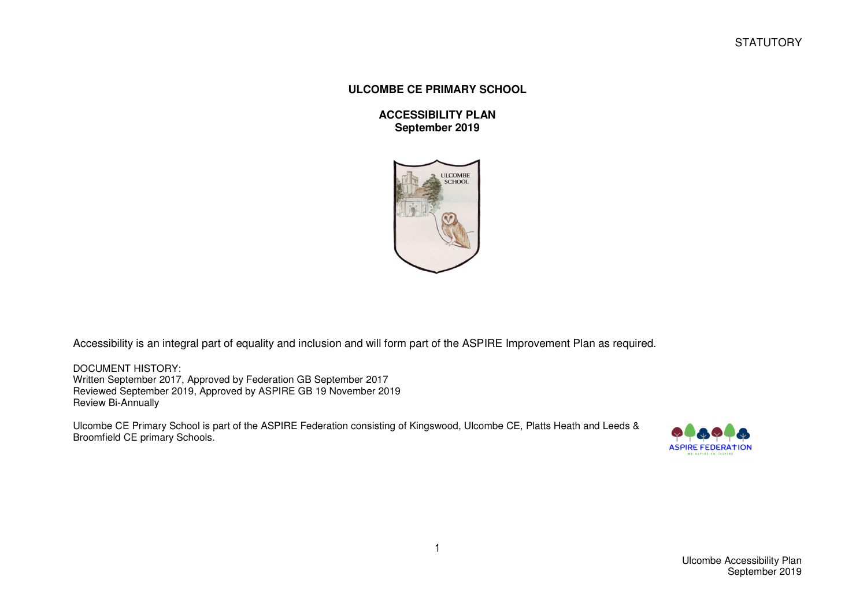**STATUTORY** 

## **ULCOMBE CE PRIMARY SCHOOL**

**ACCESSIBILITY PLAN September 2019** 



Accessibility is an integral part of equality and inclusion and will form part of the ASPIRE Improvement Plan as required.

DOCUMENT HISTORY: Written September 2017, Approved by Federation GB September 2017 Reviewed September 2019, Approved by ASPIRE GB 19 November 2019 Review Bi-Annually

Ulcombe CE Primary School is part of the ASPIRE Federation consisting of Kingswood, Ulcombe CE, Platts Heath and Leeds & Broomfield CE primary Schools.

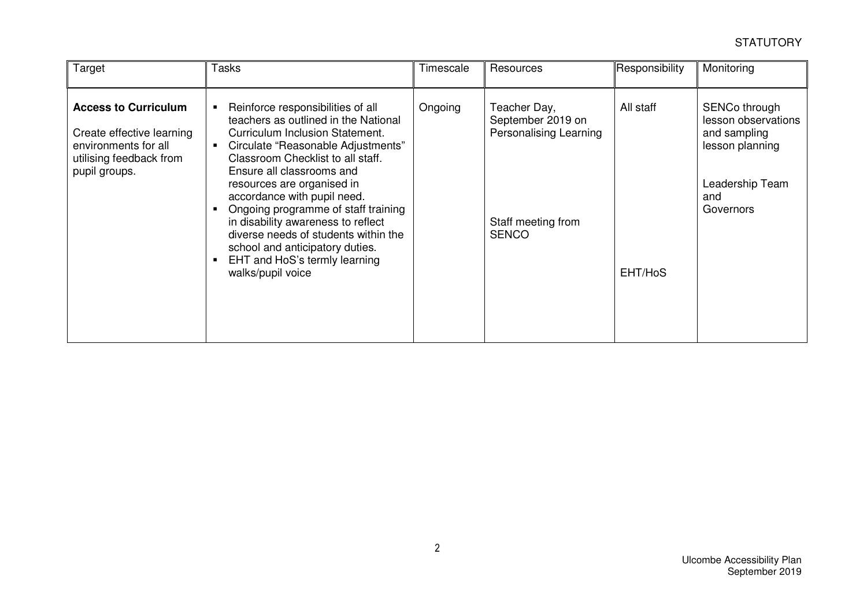| Target                                                                                                                       | Tasks                                                                                                                                                                                                                                                                                                                                                                                                                                                                                           | Timescale | Resources                                                                                                | Responsibility       | Monitoring                                                                                                     |
|------------------------------------------------------------------------------------------------------------------------------|-------------------------------------------------------------------------------------------------------------------------------------------------------------------------------------------------------------------------------------------------------------------------------------------------------------------------------------------------------------------------------------------------------------------------------------------------------------------------------------------------|-----------|----------------------------------------------------------------------------------------------------------|----------------------|----------------------------------------------------------------------------------------------------------------|
| <b>Access to Curriculum</b><br>Create effective learning<br>environments for all<br>utilising feedback from<br>pupil groups. | Reinforce responsibilities of all<br>teachers as outlined in the National<br>Curriculum Inclusion Statement.<br>Circulate "Reasonable Adjustments"<br>Classroom Checklist to all staff.<br>Ensure all classrooms and<br>resources are organised in<br>accordance with pupil need.<br>Ongoing programme of staff training<br>in disability awareness to reflect<br>diverse needs of students within the<br>school and anticipatory duties.<br>EHT and HoS's termly learning<br>walks/pupil voice | Ongoing   | Teacher Day,<br>September 2019 on<br><b>Personalising Learning</b><br>Staff meeting from<br><b>SENCO</b> | All staff<br>EHT/HoS | SENCo through<br>lesson observations<br>and sampling<br>lesson planning<br>Leadership Team<br>and<br>Governors |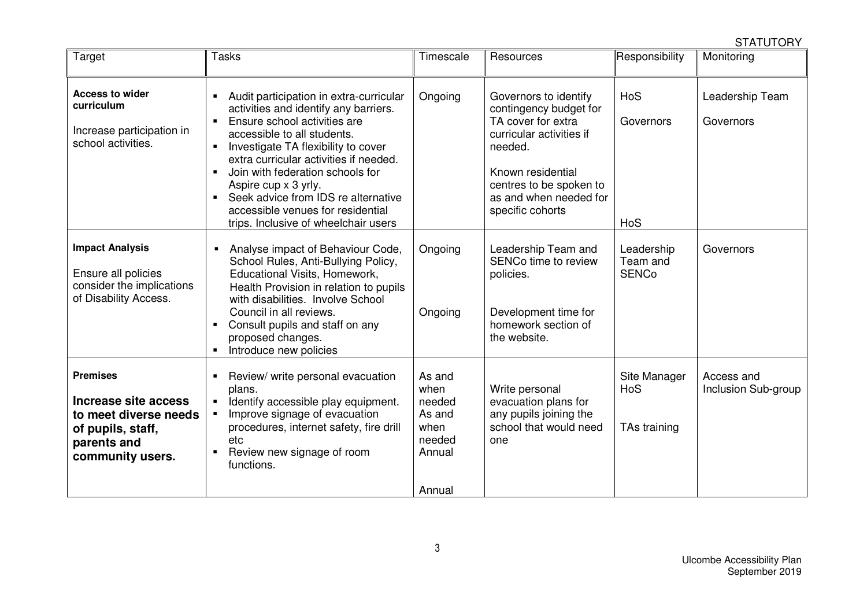**STATUTORY** 

| Target                                                                                                                   | <b>Tasks</b>                                                                                                                                                                                                                                                                                                                                                                                                                                         | Timescale                                                                | Resources                                                                                                                                                                                                  | Responsibility                         | Monitoring                        |
|--------------------------------------------------------------------------------------------------------------------------|------------------------------------------------------------------------------------------------------------------------------------------------------------------------------------------------------------------------------------------------------------------------------------------------------------------------------------------------------------------------------------------------------------------------------------------------------|--------------------------------------------------------------------------|------------------------------------------------------------------------------------------------------------------------------------------------------------------------------------------------------------|----------------------------------------|-----------------------------------|
| <b>Access to wider</b><br>curriculum<br>Increase participation in<br>school activities.                                  | Audit participation in extra-curricular<br>activities and identify any barriers.<br>Ensure school activities are<br>$\blacksquare$<br>accessible to all students.<br>Investigate TA flexibility to cover<br>$\blacksquare$<br>extra curricular activities if needed.<br>Join with federation schools for<br>Aspire cup x 3 yrly.<br>Seek advice from IDS re alternative<br>accessible venues for residential<br>trips. Inclusive of wheelchair users | Ongoing                                                                  | Governors to identify<br>contingency budget for<br>TA cover for extra<br>curricular activities if<br>needed.<br>Known residential<br>centres to be spoken to<br>as and when needed for<br>specific cohorts | HoS<br>Governors<br>HoS                | Leadership Team<br>Governors      |
| <b>Impact Analysis</b><br>Ensure all policies<br>consider the implications<br>of Disability Access.                      | Analyse impact of Behaviour Code,<br>$\blacksquare$<br>School Rules, Anti-Bullying Policy,<br>Educational Visits, Homework,<br>Health Provision in relation to pupils<br>with disabilities. Involve School<br>Council in all reviews.<br>Consult pupils and staff on any<br>proposed changes.<br>Introduce new policies                                                                                                                              | Ongoing<br>Ongoing                                                       | Leadership Team and<br><b>SENCo time to review</b><br>policies.<br>Development time for<br>homework section of<br>the website.                                                                             | Leadership<br>Team and<br><b>SENCo</b> | Governors                         |
| <b>Premises</b><br>Increase site access<br>to meet diverse needs<br>of pupils, staff,<br>parents and<br>community users. | Review/ write personal evacuation<br>plans.<br>Identify accessible play equipment.<br>$\blacksquare$<br>Improve signage of evacuation<br>procedures, internet safety, fire drill<br>etc<br>Review new signage of room<br>functions.                                                                                                                                                                                                                  | As and<br>when<br>needed<br>As and<br>when<br>needed<br>Annual<br>Annual | Write personal<br>evacuation plans for<br>any pupils joining the<br>school that would need<br>one                                                                                                          | Site Manager<br>HoS<br>TAs training    | Access and<br>Inclusion Sub-group |